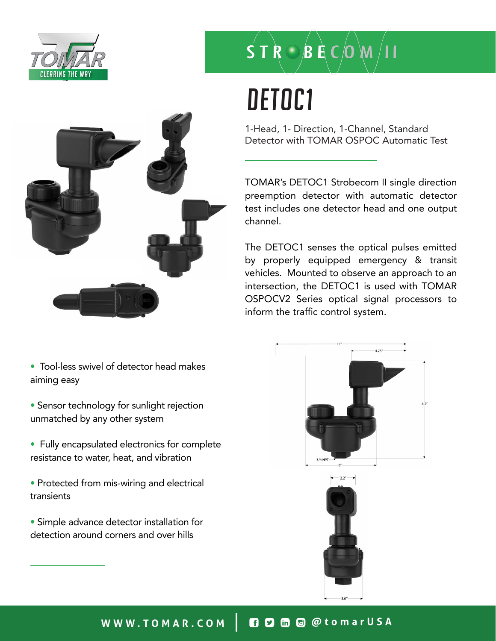



## • Tool-less swivel of detector head makes aiming easy

- Sensor technology for sunlight rejection unmatched by any other system
- Fully encapsulated electronics for complete resistance to water, heat, and vibration
- Protected from mis-wiring and electrical transients
- Simple advance detector installation for detection around corners and over hills

# $S T R \bigcirc B E C$   $(M)$

# DETOC1

1-Head, 1- Direction, 1-Channel, Standard Detector with TOMAR OSPOC Automatic Test

TOMAR's DETOC1 Strobecom II single direction preemption detector with automatic detector test includes one detector head and one output channel.

The DETOC1 senses the optical pulses emitted by properly equipped emergency & transit vehicles. Mounted to observe an approach to an intersection, the DETOC1 is used with TOMAR OSPOCV2 Series optical signal processors to inform the traffic control system.





## **WWW.TOMAR.COM @tomarUSA**